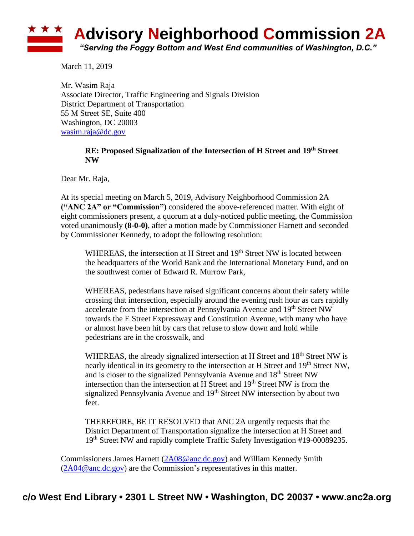

March 11, 2019

Mr. Wasim Raja Associate Director, Traffic Engineering and Signals Division District Department of Transportation 55 M Street SE, Suite 400 Washington, DC 20003 [wasim.raja@dc.gov](mailto:wasim.raja@dc.gov)

## **RE: Proposed Signalization of the Intersection of H Street and 19th Street NW**

Dear Mr. Raja,

At its special meeting on March 5, 2019, Advisory Neighborhood Commission 2A **("ANC 2A" or "Commission")** considered the above-referenced matter. With eight of eight commissioners present, a quorum at a duly-noticed public meeting, the Commission voted unanimously **(8-0-0)**, after a motion made by Commissioner Harnett and seconded by Commissioner Kennedy, to adopt the following resolution:

WHEREAS, the intersection at H Street and 19<sup>th</sup> Street NW is located between the headquarters of the World Bank and the International Monetary Fund, and on the southwest corner of Edward R. Murrow Park,

WHEREAS, pedestrians have raised significant concerns about their safety while crossing that intersection, especially around the evening rush hour as cars rapidly accelerate from the intersection at Pennsylvania Avenue and 19<sup>th</sup> Street NW towards the E Street Expressway and Constitution Avenue, with many who have or almost have been hit by cars that refuse to slow down and hold while pedestrians are in the crosswalk, and

WHEREAS, the already signalized intersection at H Street and 18<sup>th</sup> Street NW is nearly identical in its geometry to the intersection at H Street and 19<sup>th</sup> Street NW, and is closer to the signalized Pennsylvania Avenue and 18<sup>th</sup> Street NW intersection than the intersection at  $H$  Street and  $19<sup>th</sup>$  Street NW is from the signalized Pennsylvania Avenue and 19<sup>th</sup> Street NW intersection by about two feet.

THEREFORE, BE IT RESOLVED that ANC 2A urgently requests that the District Department of Transportation signalize the intersection at H Street and 19<sup>th</sup> Street NW and rapidly complete Traffic Safety Investigation #19-00089235.

Commissioners James Harnett [\(2A08@anc.dc.gov\)](mailto:2A08@anc.dc.gov) and William Kennedy Smith  $(2A04@anc.dc.gov)$  are the Commission's representatives in this matter.